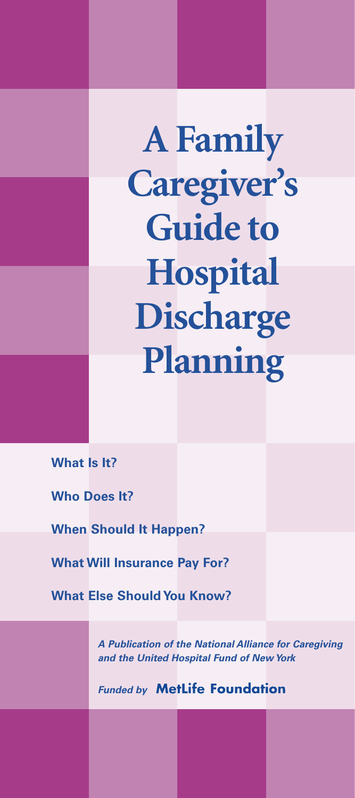**A Family Caregiver's Guide to Hospital Discharge Planning**

**What Is It?**

**Who Does It?**

**When Should It Happen?**

**What Will Insurance Pay For?**

**What Else Should You Know?**

*A Publication of the National Alliance for Caregiving and the United Hospital Fund of New York* 

*Funded by* MetLife Foundation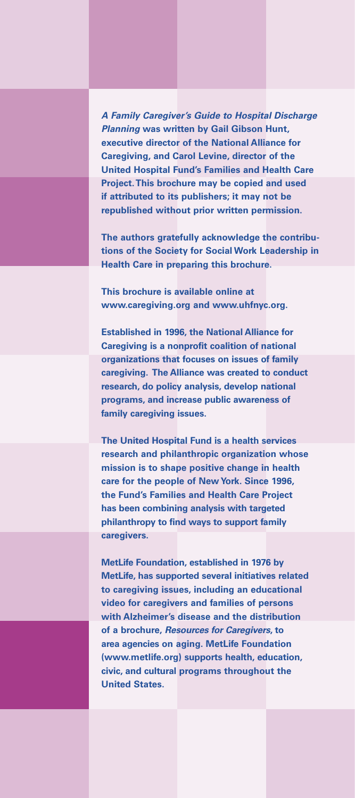*A Family Caregiver's Guide to Hospital Discharge Planning* **was written by Gail Gibson Hunt, executive director of the National Alliance for Caregiving, and Carol Levine, director of the United Hospital Fund's Families and Health Care Project.This brochure may be copied and used if attributed to its publishers; it may not be republished without prior written permission.**

**The authors gratefully acknowledge the contributions of the Society for Social Work Leadership in Health Care in preparing this brochure.**

**This brochure is available online at www.caregiving.org and www.uhfnyc.org.**

**Established in 1996, the National Alliance for Caregiving is a nonprofit coalition of national organizations that focuses on issues of family caregiving. The Alliance was created to conduct research, do policy analysis, develop national programs, and increase public awareness of family caregiving issues.**

**The United Hospital Fund is a health services research and philanthropic organization whose mission is to shape positive change in health care for the people of New York. Since 1996, the Fund's Families and Health Care Project has been combining analysis with targeted philanthropy to find ways to support family caregivers.**

**MetLife Foundation, established in 1976 by MetLife, has supported several initiatives related to caregiving issues, including an educational video for caregivers and families of persons with Alzheimer's disease and the distribution of a brochure,** *Resources for Caregivers***, to area agencies on aging. MetLife Foundation (www.metlife.org) supports health, education, civic, and cultural programs throughout the United States.**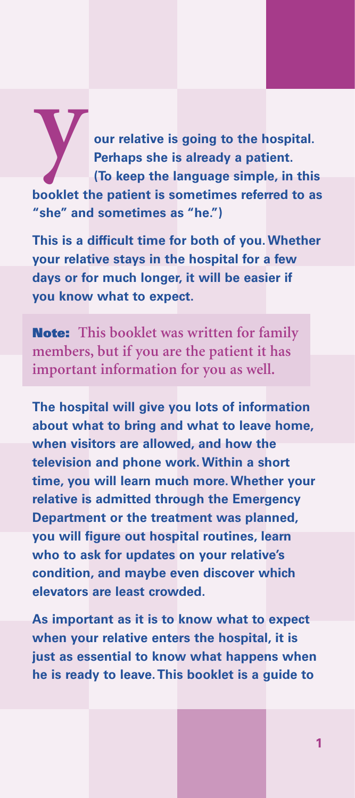**y our relative is going to the hospital. Perhaps she is already a patient. (To keep the language simple, in this booklet the patient is sometimes referred to as "she" and sometimes as "he.")**

**This is a difficult time for both of you. Whether your relative stays in the hospital for a few days or for much longer, it will be easier if you know what to expect.**

**Note: This booklet was written for family members, but if you are the patient it has important information for you as well.**

**The hospital will give you lots of information about what to bring and what to leave home, when visitors are allowed, and how the television and phone work. Within a short time, you will learn much more. Whether your relative is admitted through the Emergency Department or the treatment was planned, you will figure out hospital routines, learn who to ask for updates on your relative's condition, and maybe even discover which elevators are least crowded.**

**As important as it is to know what to expect when your relative enters the hospital, it is just as essential to know what happens when he is ready to leave.This booklet is a guide to**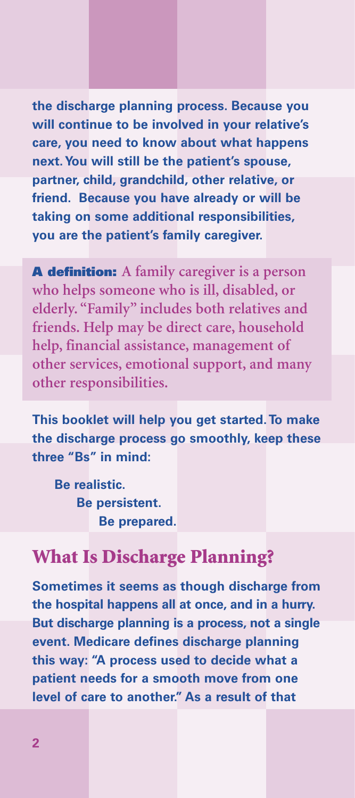**the discharge planning process. Because you will continue to be involved in your relative's care, you need to know about what happens next.You will still be the patient's spouse, partner, child, grandchild, other relative, or friend. Because you have already or will be taking on some additional responsibilities, you are the patient's family caregiver.**

**A definition: A family caregiver is a person who helps someone who is ill, disabled, or elderly. "Family" includes both relatives and friends. Help may be direct care, household help, financial assistance, management of other services, emotional support, and many other responsibilities.**

**This booklet will help you get started.To make the discharge process go smoothly, keep these three "Bs" in mind:**

**Be realistic. Be persistent. Be prepared.**

### **What Is Discharge Planning?**

**Sometimes it seems as though discharge from the hospital happens all at once, and in a hurry. But discharge planning is a process, not a single event. Medicare defines discharge planning this way: "A process used to decide what a patient needs for a smooth move from one level of care to another." As a result of that**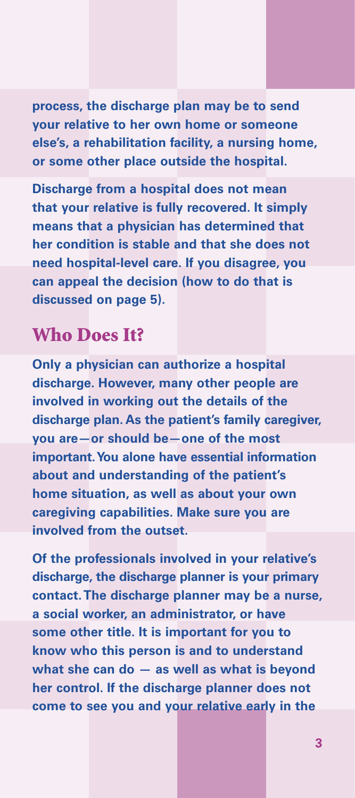**process, the discharge plan may be to send your relative to her own home or someone else's, a rehabilitation facility, a nursing home, or some other place outside the hospital.**

**Discharge from a hospital does not mean that your relative is fully recovered. It simply means that a physician has determined that her condition is stable and that she does not need hospital-level care. If you disagree, you can appeal the decision (how to do that is discussed on page 5).**

# **Who Does It?**

**Only a physician can authorize a hospital discharge. However, many other people are involved in working out the details of the discharge plan. As the patient's family caregiver, you are—or should be—one of the most important.You alone have essential information about and understanding of the patient's home situation, as well as about your own caregiving capabilities. Make sure you are involved from the outset.**

**Of the professionals involved in your relative's discharge, the discharge planner is your primary contact.The discharge planner may be a nurse, a social worker, an administrator, or have some other title. It is important for you to know who this person is and to understand what she can do — as well as what is beyond her control. If the discharge planner does not come to see you and your relative early in the**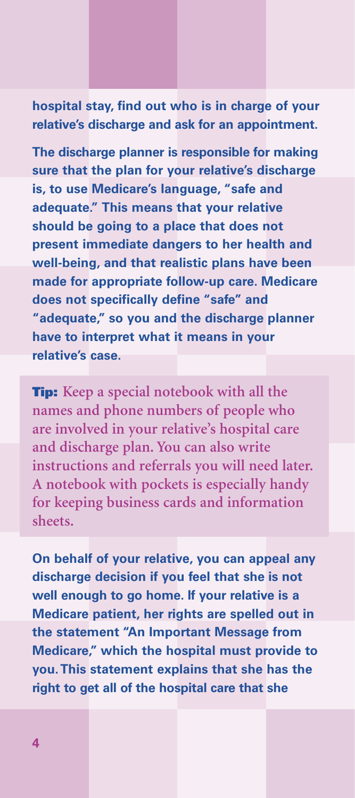### **hospital stay, find out who is in charge of your relative's discharge and ask for an appointment.**

**The discharge planner is responsible for making sure that the plan for your relative's discharge is, to use Medicare's language, "safe and adequate." This means that your relative should be going to a place that does not present immediate dangers to her health and well-being, and that realistic plans have been made for appropriate follow-up care. Medicare does not specifically define "safe" and "adequate," so you and the discharge planner have to interpret what it means in your relative's case.**

**Tip: Keep a special notebook with all the names and phone numbers of people who are involved in your relative's hospital care and discharge plan. You can also write instructions and referrals you will need later. A notebook with pockets is especially handy for keeping business cards and information sheets.**

**On behalf of your relative, you can appeal any discharge decision if you feel that she is not well enough to go home. If your relative is a Medicare patient, her rights are spelled out in the statement "An Important Message from Medicare," which the hospital must provide to you.This statement explains that she has the right to get all of the hospital care that she**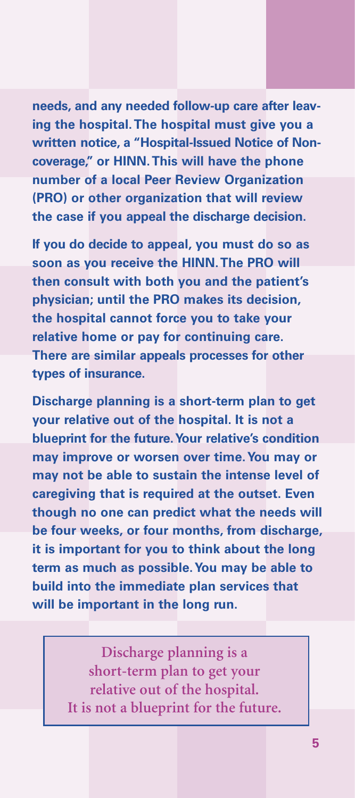**needs, and any needed follow-up care after leaving the hospital.The hospital must give you a written notice, a "Hospital-Issued Notice of Noncoverage," or HINN.This will have the phone number of a local Peer Review Organization (PRO) or other organization that will review the case if you appeal the discharge decision.**

**If you do decide to appeal, you must do so as soon as you receive the HINN.The PRO will then consult with both you and the patient's physician; until the PRO makes its decision, the hospital cannot force you to take your relative home or pay for continuing care. There are similar appeals processes for other types of insurance.**

**Discharge planning is a short-term plan to get your relative out of the hospital. It is not a blueprint for the future.Your relative's condition may improve or worsen over time.You may or may not be able to sustain the intense level of caregiving that is required at the outset. Even though no one can predict what the needs will be four weeks, or four months, from discharge, it is important for you to think about the long term as much as possible.You may be able to build into the immediate plan services that will be important in the long run.**

> **Discharge planning is a short-term plan to get your relative out of the hospital. It is not a blueprint for the future.**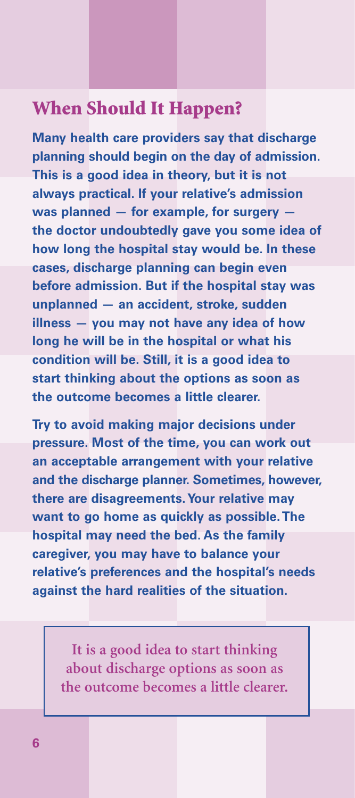## **When Should It Happen?**

**Many health care providers say that discharge planning should begin on the day of admission. This is a good idea in theory, but it is not always practical. If your relative's admission was planned — for example, for surgery the doctor undoubtedly gave you some idea of how long the hospital stay would be. In these cases, discharge planning can begin even before admission. But if the hospital stay was unplanned — an accident, stroke, sudden illness — you may not have any idea of how long he will be in the hospital or what his condition will be. Still, it is a good idea to start thinking about the options as soon as the outcome becomes a little clearer.**

**Try to avoid making major decisions under pressure. Most of the time, you can work out an acceptable arrangement with your relative and the discharge planner. Sometimes, however, there are disagreements.Your relative may want to go home as quickly as possible.The hospital may need the bed. As the family caregiver, you may have to balance your relative's preferences and the hospital's needs against the hard realities of the situation.**

> **It is a good idea to start thinking about discharge options as soon as the outcome becomes a little clearer.**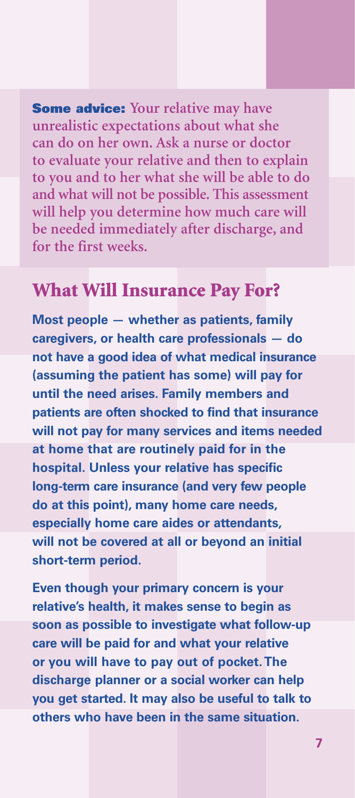**Some advice: Your relative may have unrealistic expectations about what she can do on her own. Ask a nurse or doctor to evaluate your relative and then to explain to you and to her what she will be able to do and what will not be possible. This assessment will help you determine how much care will be needed immediately after discharge, and for the first weeks.**

### **What Will Insurance Pay For?**

**Most people — whether as patients, family caregivers, or health care professionals — do not have a good idea of what medical insurance (assuming the patient has some) will pay for until the need arises. Family members and patients are often shocked to find that insurance will not pay for many services and items needed at home that are routinely paid for in the hospital. Unless your relative has specific long-term care insurance (and very few people do at this point), many home care needs, especially home care aides or attendants, will not be covered at all or beyond an initial short-term period.**

**Even though your primary concern is your relative's health, it makes sense to begin as soon as possible to investigate what follow-up care will be paid for and what your relative or you will have to pay out of pocket.The discharge planner or a social worker can help you get started. It may also be useful to talk to others who have been in the same situation.**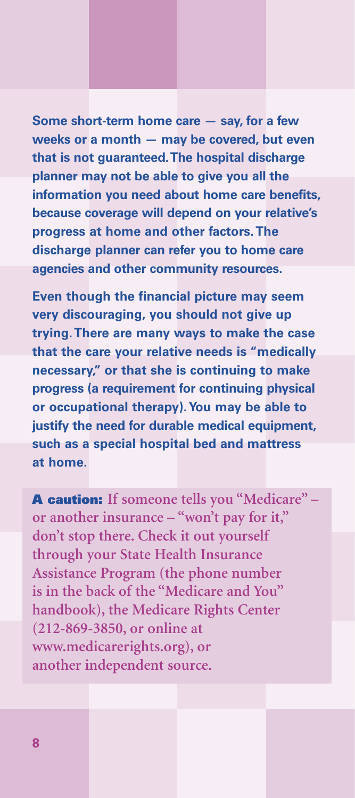**Some short-term home care — say, for a few weeks or a month — may be covered, but even that is not guaranteed.The hospital discharge planner may not be able to give you all the information you need about home care benefits, because coverage will depend on your relative's progress at home and other factors.The discharge planner can refer you to home care agencies and other community resources.**

**Even though the financial picture may seem very discouraging, you should not give up trying.There are many ways to make the case that the care your relative needs is "medically necessary," or that she is continuing to make progress (a requirement for continuing physical or occupational therapy).You may be able to justify the need for durable medical equipment, such as a special hospital bed and mattress at home.**

**A caution: If someone tells you "Medicare" – or another insurance – "won't pay for it," don't stop there. Check it out yourself through your State Health Insurance Assistance Program (the phone number is in the back of the "Medicare and You" handbook), the Medicare Rights Center (212-869-3850, or online at www.medicarerights.org), or another independent source.**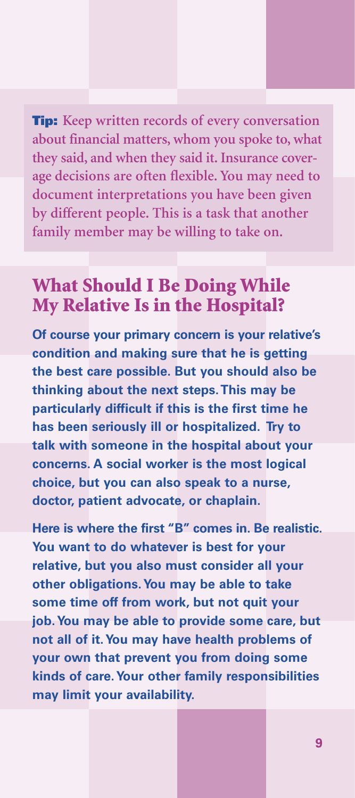**Tip: Keep written records of every conversation about financial matters, whom you spoke to, what they said, and when they said it. Insurance coverage decisions are often flexible. You may need to document interpretations you have been given by different people. This is a task that another family member may be willing to take on.**

# **What Should I Be Doing While My Relative Is in the Hospital?**

**Of course your primary concern is your relative's condition and making sure that he is getting the best care possible. But you should also be thinking about the next steps.This may be particularly difficult if this is the first time he has been seriously ill or hospitalized. Try to talk with someone in the hospital about your concerns. A social worker is the most logical choice, but you can also speak to a nurse, doctor, patient advocate, or chaplain.**

**Here is where the first "B" comes in. Be realistic. You want to do whatever is best for your relative, but you also must consider all your other obligations.You may be able to take some time off from work, but not quit your job.You may be able to provide some care, but not all of it.You may have health problems of your own that prevent you from doing some kinds of care.Your other family responsibilities may limit your availability.**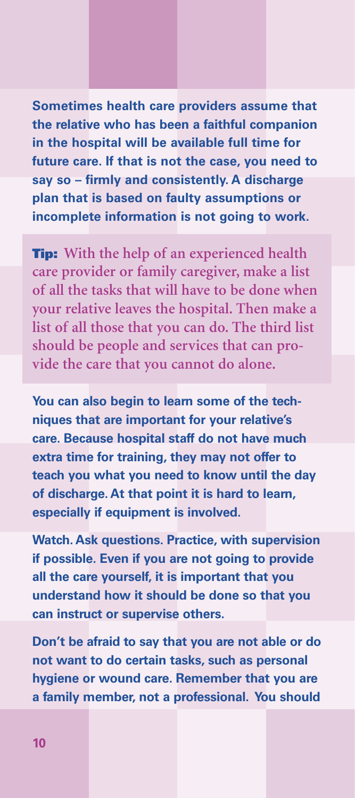**Sometimes health care providers assume that the relative who has been a faithful companion in the hospital will be available full time for future care. If that is not the case, you need to say so – firmly and consistently. A discharge plan that is based on faulty assumptions or incomplete information is not going to work.**

**Tip: With the help of an experienced health care provider or family caregiver, make a list of all the tasks that will have to be done when your relative leaves the hospital. Then make a list of all those that you can do. The third list should be people and services that can provide the care that you cannot do alone.**

**You can also begin to learn some of the techniques that are important for your relative's care. Because hospital staff do not have much extra time for training, they may not offer to teach you what you need to know until the day of discharge. At that point it is hard to learn, especially if equipment is involved.**

**Watch. Ask questions. Practice, with supervision if possible. Even if you are not going to provide all the care yourself, it is important that you understand how it should be done so that you can instruct or supervise others.**

**Don't be afraid to say that you are not able or do not want to do certain tasks, such as personal hygiene or wound care. Remember that you are a family member, not a professional. You should**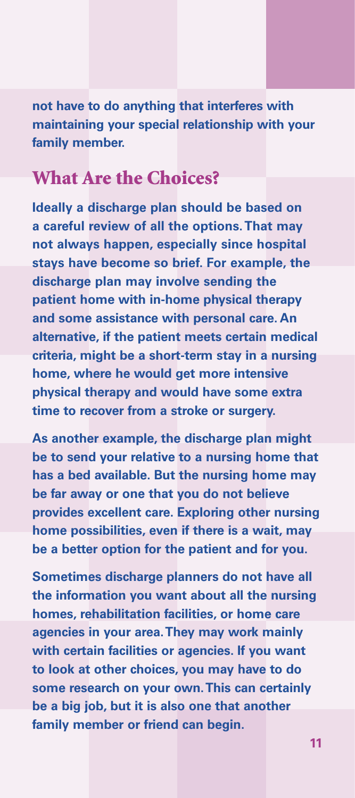**not have to do anything that interferes with maintaining your special relationship with your family member.**

# **What Are the Choices?**

**Ideally a discharge plan should be based on a careful review of all the options.That may not always happen, especially since hospital stays have become so brief. For example, the discharge plan may involve sending the patient home with in-home physical therapy and some assistance with personal care. An alternative, if the patient meets certain medical criteria, might be a short-term stay in a nursing home, where he would get more intensive physical therapy and would have some extra time to recover from a stroke or surgery.**

**As another example, the discharge plan might be to send your relative to a nursing home that has a bed available. But the nursing home may be far away or one that you do not believe provides excellent care. Exploring other nursing home possibilities, even if there is a wait, may be a better option for the patient and for you.**

**Sometimes discharge planners do not have all the information you want about all the nursing homes, rehabilitation facilities, or home care agencies in your area.They may work mainly with certain facilities or agencies. If you want to look at other choices, you may have to do some research on your own.This can certainly be a big job, but it is also one that another family member or friend can begin.**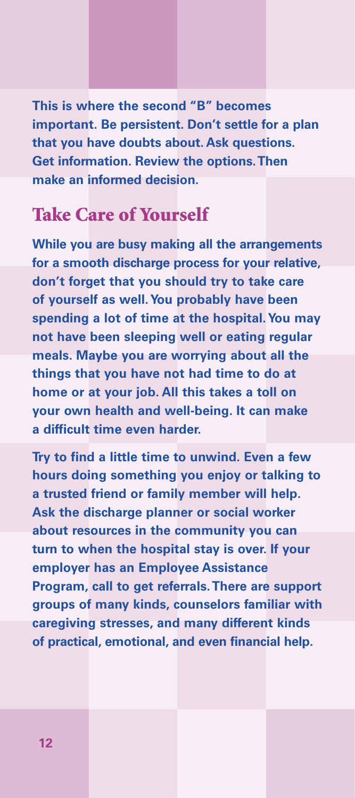**This is where the second "B" becomes important. Be persistent. Don't settle for a plan that you have doubts about. Ask questions. Get information. Review the options.Then make an informed decision.**

# **Take Care of Yourself**

**While you are busy making all the arrangements for a smooth discharge process for your relative, don't forget that you should try to take care of yourself as well.You probably have been spending a lot of time at the hospital.You may not have been sleeping well or eating regular meals. Maybe you are worrying about all the things that you have not had time to do at home or at your job. All this takes a toll on your own health and well-being. It can make a difficult time even harder.**

**Try to find a little time to unwind. Even a few hours doing something you enjoy or talking to a trusted friend or family member will help. Ask the discharge planner or social worker about resources in the community you can turn to when the hospital stay is over. If your employer has an Employee Assistance Program, call to get referrals.There are support groups of many kinds, counselors familiar with caregiving stresses, and many different kinds of practical, emotional, and even financial help.**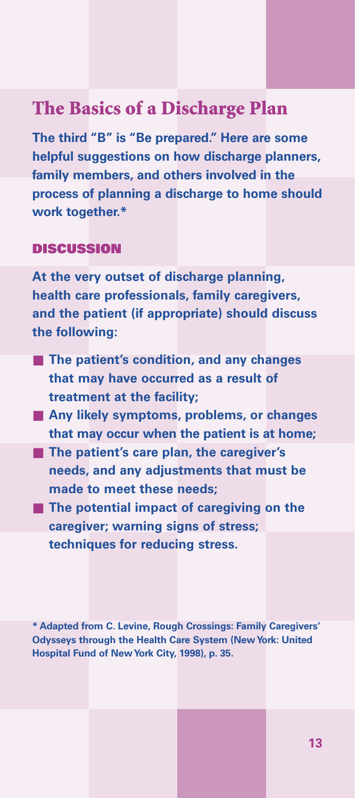### **The Basics of a Discharge Plan**

**The third "B" is "Be prepared." Here are some helpful suggestions on how discharge planners, family members, and others involved in the process of planning a discharge to home should work together.\***

### **DISCUSSION**

**At the very outset of discharge planning, health care professionals, family caregivers, and the patient (if appropriate) should discuss the following:**

- **The patient's condition, and any changes that may have occurred as a result of treatment at the facility;**
- Any likely symptoms, problems, or changes **that may occur when the patient is at home;**
- **The patient's care plan, the caregiver's needs, and any adjustments that must be made to meet these needs;**
- **The potential impact of caregiving on the caregiver; warning signs of stress; techniques for reducing stress.**

**\* Adapted from C. Levine, Rough Crossings: Family Caregivers' Odysseys through the Health Care System (New York: United Hospital Fund of New York City, 1998), p. 35.**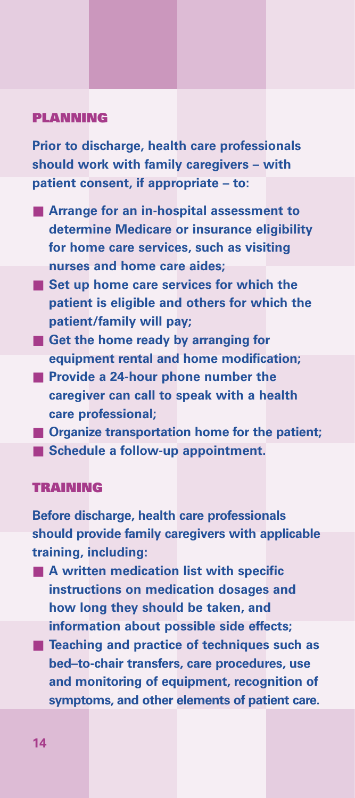#### **PLANNING**

**Prior to discharge, health care professionals should work with family caregivers – with patient consent, if appropriate – to:**

- **Arrange for an in-hospital assessment to determine Medicare or insurance eligibility for home care services, such as visiting nurses and home care aides;**
- Set up home care services for which the **patient is eligible and others for which the patient/family will pay;**
- Get the home ready by arranging for **equipment rental and home modification;**
- **Provide a 24-hour phone number the caregiver can call to speak with a health care professional;**
- **Organize transportation home for the patient;**
- Schedule a follow-up appointment.

### **TRAINING**

**Before discharge, health care professionals should provide family caregivers with applicable training, including:**

- **A** written medication list with specific **instructions on medication dosages and how long they should be taken, and information about possible side effects;**
- **Teaching and practice of techniques such as bed–to-chair transfers, care procedures, use and monitoring of equipment, recognition of symptoms, and other elements of patient care.**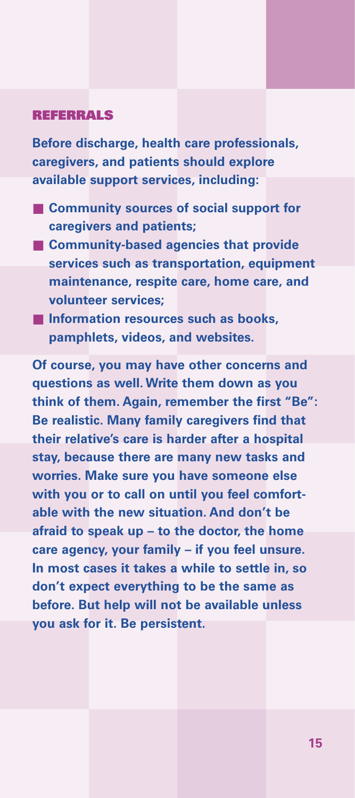#### **REFERRALS**

**Before discharge, health care professionals, caregivers, and patients should explore available support services, including:**

- **Community sources of social support for caregivers and patients;**
- **Community-based agencies that provide services such as transportation, equipment maintenance, respite care, home care, and volunteer services;**
- **Information resources such as books**, **pamphlets, videos, and websites.**

**Of course, you may have other concerns and questions as well. Write them down as you think of them. Again, remember the first "Be": Be realistic. Many family caregivers find that their relative's care is harder after a hospital stay, because there are many new tasks and worries. Make sure you have someone else with you or to call on until you feel comfortable with the new situation. And don't be afraid to speak up – to the doctor, the home care agency, your family – if you feel unsure. In most cases it takes a while to settle in, so don't expect everything to be the same as before. But help will not be available unless you ask for it. Be persistent.**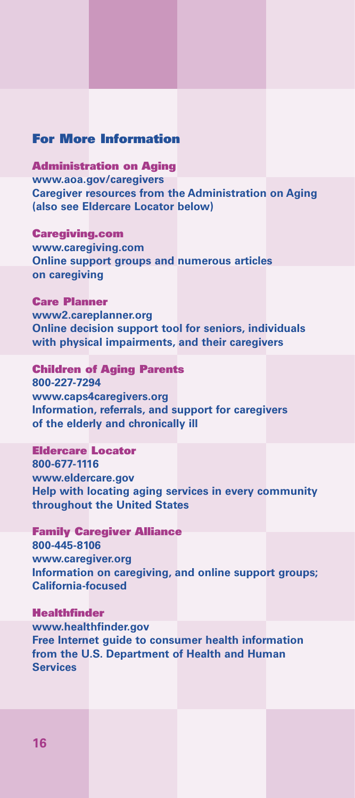#### **For More Information**

**Administration on Aging www.aoa.gov/caregivers Caregiver resources from the Administration on Aging (also see Eldercare Locator below)**

**Caregiving.com www.caregiving.com Online support groups and numerous articles on caregiving**

**Care Planner www2.careplanner.org Online decision support tool for seniors, individuals with physical impairments, and their caregivers**

**Children of Aging Parents 800-227-7294 www.caps4caregivers.org Information, referrals, and support for caregivers of the elderly and chronically ill**

**Eldercare Locator 800-677-1116 www.eldercare.gov Help with locating aging services in every community throughout the United States**

**Family Caregiver Alliance 800-445-8106 www.caregiver.org Information on caregiving, and online support groups; California-focused**

**Healthfinder www.healthfinder.gov Free Internet guide to consumer health information from the U.S. Department of Health and Human Services**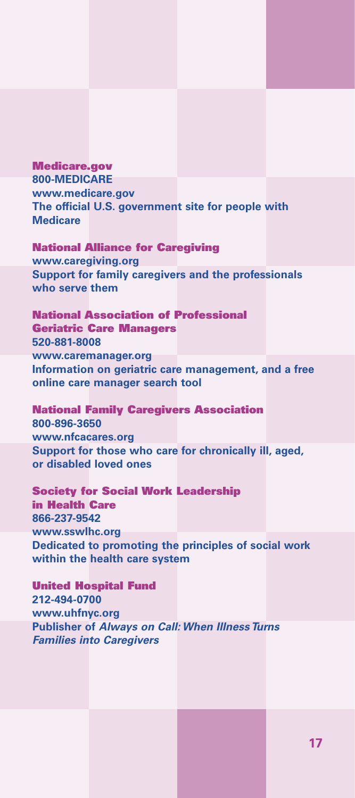**Medicare.gov 800-MEDICARE www.medicare.gov The official U.S. government site for people with Medicare**

**National Alliance for Caregiving www.caregiving.org Support for family caregivers and the professionals who serve them**

**National Association of Professional Geriatric Care Managers 520-881-8008 www.caremanager.org Information on geriatric care management, and a free online care manager search tool**

**National Family Caregivers Association 800-896-3650 www.nfcacares.org Support for those who care for chronically ill, aged, or disabled loved ones**

**Society for Social Work Leadership in Health Care 866-237-9542 www.sswlhc.org Dedicated to promoting the principles of social work within the health care system**

**United Hospital Fund 212-494-0700 www.uhfnyc.org Publisher of** *Always on Call: When Illness Turns Families into Caregivers*